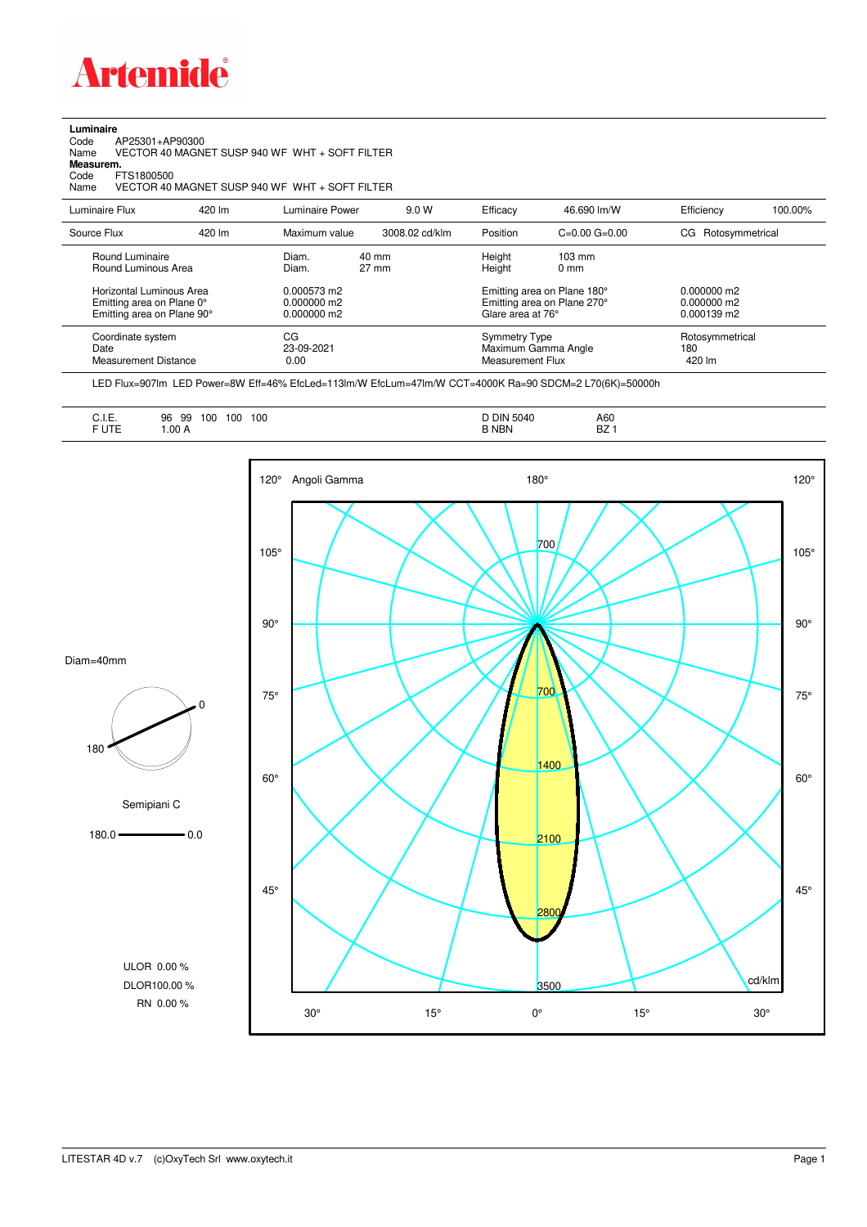

**Luminaire**<br>Code<br>Name Code AP25301+AP90300 Name VECTOR 40 MAGNET SUSP 940 WF WHT + SOFT FILTER

**Measurem.**

Code FTS1800500<br>Name VECTOR 40 VECTOR 40 MAGNET SUSP 940 WF WHT + SOFT FILTER

| Luminaire Flux                                                                                                                | 420 lm | Luminaire Power                                                 | 9.0 W                    | Efficacy                                 | 46.690 lm/W                                                                                                                               | Efficiency                       | 100.00% |
|-------------------------------------------------------------------------------------------------------------------------------|--------|-----------------------------------------------------------------|--------------------------|------------------------------------------|-------------------------------------------------------------------------------------------------------------------------------------------|----------------------------------|---------|
| Source Flux                                                                                                                   | 420 lm | Maximum value                                                   | 3008.02 cd/klm           | Position                                 | $C=0.00$ $G=0.00$                                                                                                                         | Rotosymmetrical<br>CG            |         |
| Round Luminaire<br>Round Luminous Area<br>Horizontal Luminous Area<br>Emitting area on Plane 0°<br>Emitting area on Plane 90° |        | Diam.<br>Diam.<br>0.000573 m2<br>$0.000000$ m2<br>$0.000000$ m2 | 40 mm<br>$27 \text{ mm}$ |                                          | Height<br>$103 \text{ mm}$<br>Height<br>$0 \text{ mm}$<br>Emitting area on Plane 180°<br>Emitting area on Plane 270°<br>Glare area at 76° |                                  |         |
| Coordinate system<br>Date<br><b>Measurement Distance</b>                                                                      |        | CG<br>23-09-2021<br>0.00                                        |                          | <b>Symmetry Type</b><br>Measurement Flux | Maximum Gamma Angle                                                                                                                       | Rotosymmetrical<br>180<br>420 lm |         |

LED Flux=907lm LED Power=8W Eff=46% EfcLed=113lm/W EfcLum=47lm/W CCT=4000K Ra=90 SDCM=2 L70(6K)=50000h